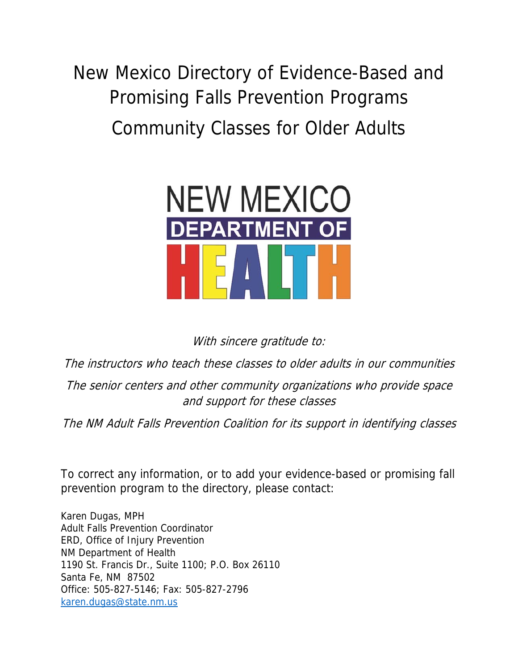New Mexico Directory of Evidence-Based and Promising Falls Prevention Programs Community Classes for Older Adults



With sincere gratitude to:

The instructors who teach these classes to older adults in our communities

The senior centers and other community organizations who provide space and support for these classes

The NM Adult Falls Prevention Coalition for its support in identifying classes

To correct any information, or to add your evidence-based or promising fall prevention program to the directory, please contact:

Karen Dugas, MPH Adult Falls Prevention Coordinator ERD, Office of Injury Prevention NM Department of Health 1190 St. Francis Dr., Suite 1100; P.O. Box 26110 Santa Fe, NM 87502 Office: 505-827-5146; Fax: 505-827-2796 karen.dugas@state.nm.us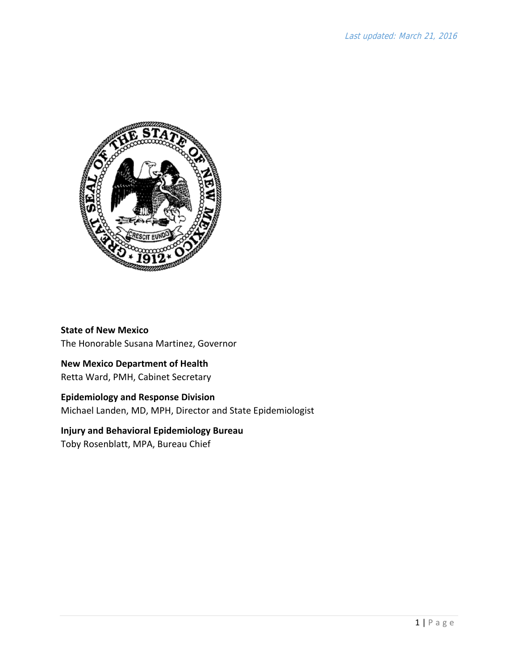

**State of New Mexico** The Honorable Susana Martinez, Governor

### **New Mexico Department of Health**

Retta Ward, PMH, Cabinet Secretary

### **Epidemiology and Response Division**

Michael Landen, MD, MPH, Director and State Epidemiologist

### **Injury and Behavioral Epidemiology Bureau**

Toby Rosenblatt, MPA, Bureau Chief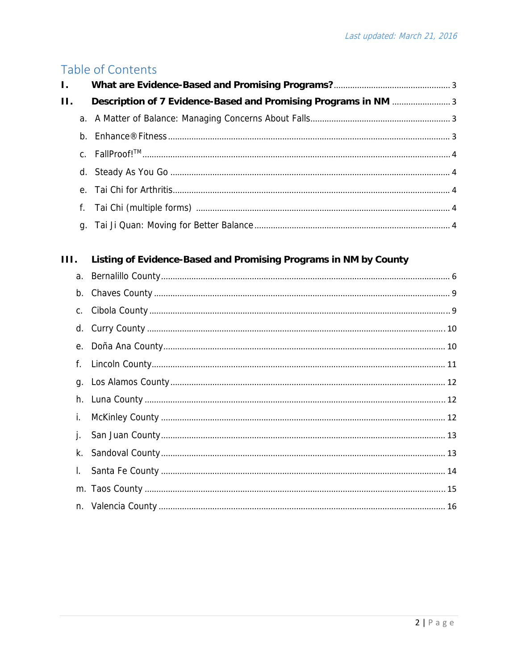# Table of Contents

| Ι.      |             |                                                                  |  |
|---------|-------------|------------------------------------------------------------------|--|
| $\Pi$ . |             | Description of 7 Evidence-Based and Promising Programs in NM 3   |  |
|         |             |                                                                  |  |
|         |             |                                                                  |  |
|         |             |                                                                  |  |
|         |             |                                                                  |  |
|         | $e_{\cdot}$ |                                                                  |  |
|         | f.          |                                                                  |  |
|         | q.          |                                                                  |  |
|         |             |                                                                  |  |
| III.    |             | Listing of Evidence-Based and Promising Programs in NM by County |  |
|         |             |                                                                  |  |
|         |             | h Chave County<br>$\overline{\phantom{a}}$                       |  |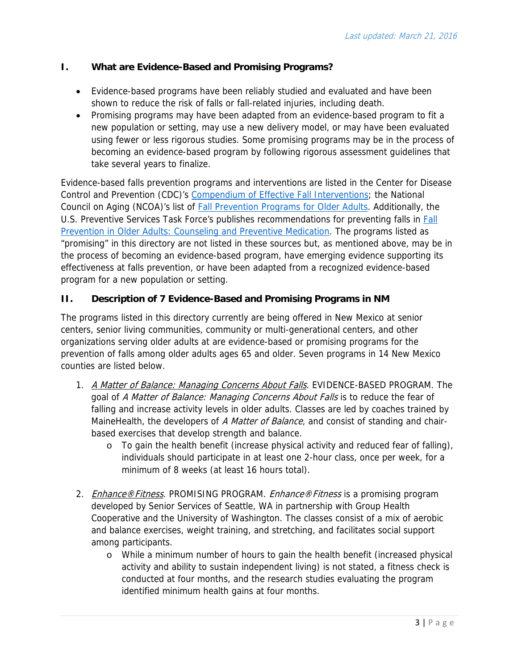### **I. What are Evidence-Based and Promising Programs?**

- Evidence-based programs have been reliably studied and evaluated and have been shown to reduce the risk of falls or fall-related injuries, including death.
- Promising programs may have been adapted from an evidence-based program to fit a new population or setting, may use a new delivery model, or may have been evaluated using fewer or less rigorous studies. Some promising programs may be in the process of becoming an evidence-based program by following rigorous assessment guidelines that take several years to finalize.

Evidence-based falls prevention programs and interventions are listed in the Center for Disease Control and Prevention (CDC)'s Compendium of Effective Fall Interventions; the National Council on Aging (NCOA)'s list of Fall Prevention Programs for Older Adults. Additionally, the U.S. Preventive Services Task Force's publishes recommendations for preventing falls in Fall Prevention in Older Adults: Counseling and Preventive Medication. The programs listed as "promising" in this directory are not listed in these sources but, as mentioned above, may be in the process of becoming an evidence-based program, have emerging evidence supporting its effectiveness at falls prevention, or have been adapted from a recognized evidence-based program for a new population or setting.

### **II. Description of 7 Evidence-Based and Promising Programs in NM**

The programs listed in this directory currently are being offered in New Mexico at senior centers, senior living communities, community or multi-generational centers, and other organizations serving older adults at are evidence-based or promising programs for the prevention of falls among older adults ages 65 and older. Seven programs in 14 New Mexico counties are listed below.

- 1. A Matter of Balance: Managing Concerns About Falls. EVIDENCE-BASED PROGRAM. The goal of A Matter of Balance: Managing Concerns About Falls is to reduce the fear of falling and increase activity levels in older adults. Classes are led by coaches trained by MaineHealth, the developers of A Matter of Balance, and consist of standing and chairbased exercises that develop strength and balance.
	- o To gain the health benefit (increase physical activity and reduced fear of falling), individuals should participate in at least one 2-hour class, once per week, for a minimum of 8 weeks (at least 16 hours total).
- 2. *Enhance®Fitness*. PROMISING PROGRAM. *Enhance®Fitness* is a promising program developed by Senior Services of Seattle, WA in partnership with Group Health Cooperative and the University of Washington. The classes consist of a mix of aerobic and balance exercises, weight training, and stretching, and facilitates social support among participants.
	- o While a minimum number of hours to gain the health benefit (increased physical activity and ability to sustain independent living) is not stated, a fitness check is conducted at four months, and the research studies evaluating the program identified minimum health gains at four months.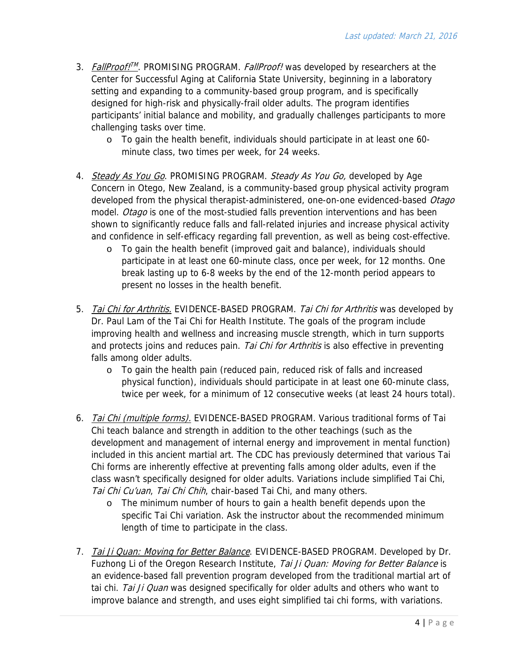- 3. *FallProof!<sup>™</sup>.* PROMISING PROGRAM. *FallProof!* was developed by researchers at the Center for Successful Aging at California State University, beginning in a laboratory setting and expanding to a community-based group program, and is specifically designed for high-risk and physically-frail older adults. The program identifies participants' initial balance and mobility, and gradually challenges participants to more challenging tasks over time.
	- o To gain the health benefit, individuals should participate in at least one 60 minute class, two times per week, for 24 weeks.
- 4. Steady As You Go. PROMISING PROGRAM. Steady As You Go, developed by Age Concern in Otego, New Zealand, is a community-based group physical activity program developed from the physical therapist-administered, one-on-one evidenced-based Otago model. Otago is one of the most-studied falls prevention interventions and has been shown to significantly reduce falls and fall-related injuries and increase physical activity and confidence in self-efficacy regarding fall prevention, as well as being cost-effective.
	- o To gain the health benefit (improved gait and balance), individuals should participate in at least one 60-minute class, once per week, for 12 months. One break lasting up to 6-8 weeks by the end of the 12-month period appears to present no losses in the health benefit.
- 5. Tai Chi for Arthritis. EVIDENCE-BASED PROGRAM. Tai Chi for Arthritis was developed by Dr. Paul Lam of the Tai Chi for Health Institute. The goals of the program include improving health and wellness and increasing muscle strength, which in turn supports and protects joins and reduces pain. Tai Chi for Arthritis is also effective in preventing falls among older adults.
	- o To gain the health pain (reduced pain, reduced risk of falls and increased physical function), individuals should participate in at least one 60-minute class, twice per week, for a minimum of 12 consecutive weeks (at least 24 hours total).
- 6. Tai Chi (multiple forms). EVIDENCE-BASED PROGRAM. Various traditional forms of Tai Chi teach balance and strength in addition to the other teachings (such as the development and management of internal energy and improvement in mental function) included in this ancient martial art. The CDC has previously determined that various Tai Chi forms are inherently effective at preventing falls among older adults, even if the class wasn't specifically designed for older adults. Variations include simplified Tai Chi, Tai Chi Cu'uan, Tai Chi Chih, chair-based Tai Chi, and many others.
	- o The minimum number of hours to gain a health benefit depends upon the specific Tai Chi variation. Ask the instructor about the recommended minimum length of time to participate in the class.
- 7. Tai Ji Quan: Moving for Better Balance. EVIDENCE-BASED PROGRAM. Developed by Dr. Fuzhong Li of the Oregon Research Institute, Tai Ji Quan: Moving for Better Balance is an evidence-based fall prevention program developed from the traditional martial art of tai chi. Tai Ji Quan was designed specifically for older adults and others who want to improve balance and strength, and uses eight simplified tai chi forms, with variations.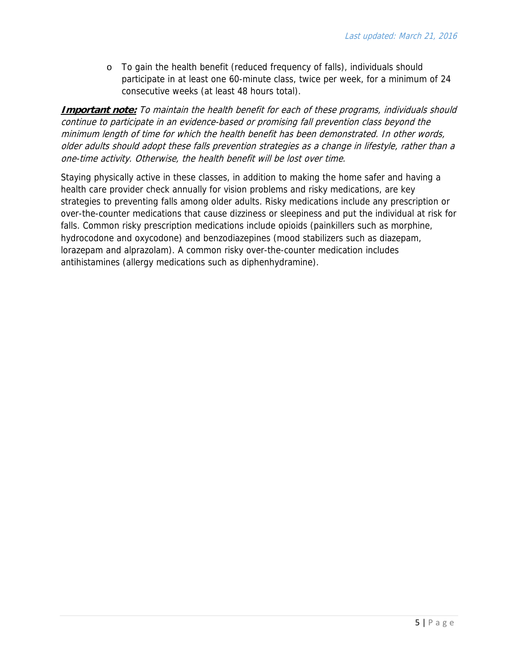o To gain the health benefit (reduced frequency of falls), individuals should participate in at least one 60-minute class, twice per week, for a minimum of 24 consecutive weeks (at least 48 hours total).

**Important note:** To maintain the health benefit for each of these programs, individuals should continue to participate in an evidence-based or promising fall prevention class beyond the minimum length of time for which the health benefit has been demonstrated. In other words, older adults should adopt these falls prevention strategies as a change in lifestyle, rather than a one-time activity. Otherwise, the health benefit will be lost over time.

Staying physically active in these classes, in addition to making the home safer and having a health care provider check annually for vision problems and risky medications, are key strategies to preventing falls among older adults. Risky medications include any prescription or over-the-counter medications that cause dizziness or sleepiness and put the individual at risk for falls. Common risky prescription medications include opioids (painkillers such as morphine, hydrocodone and oxycodone) and benzodiazepines (mood stabilizers such as diazepam, lorazepam and alprazolam). A common risky over-the-counter medication includes antihistamines (allergy medications such as diphenhydramine).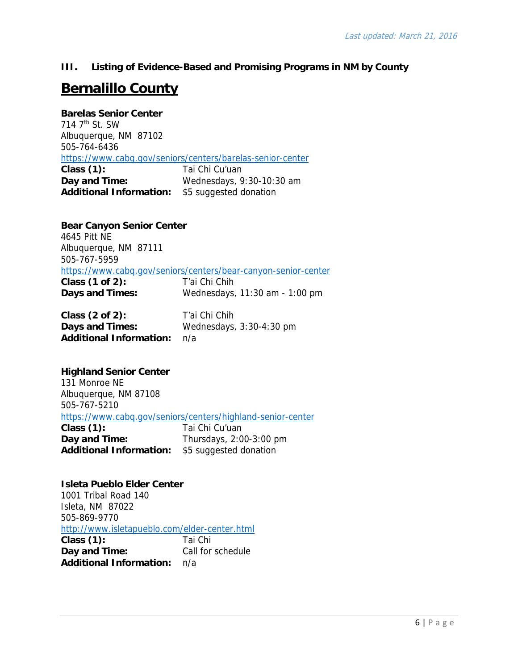**III. Listing of Evidence-Based and Promising Programs in NM by County** 

# **Bernalillo County**

**Barelas Senior Center**  714 7th St. SW Albuquerque, NM 87102 505-764-6436 https://www.cabq.gov/seniors/centers/barelas-senior-center **Class (1):** Tai Chi Cu'uan **Day and Time:** Wednesdays, 9:30-10:30 am **Additional Information:** \$5 suggested donation

**Bear Canyon Senior Center**  4645 Pitt NE Albuquerque, NM 87111 505-767-5959 https://www.cabq.gov/seniors/centers/bear-canyon-senior-center **Class (1 of 2):** T'ai Chi Chih **Days and Times:** Wednesdays, 11:30 am - 1:00 pm

| Class $(2 \text{ of } 2)$ :    | T'ai Chi Chih              |
|--------------------------------|----------------------------|
| Days and Times:                | Wednesdays, $3:30-4:30$ pm |
| <b>Additional Information:</b> | n/a                        |

### **Highland Senior Center**

131 Monroe NE Albuquerque, NM 87108 505-767-5210 https://www.cabq.gov/seniors/centers/highland-senior-center **Class (1):** Tai Chi Cu'uan **Day and Time:** Thursdays, 2:00-3:00 pm **Additional Information:** \$5 suggested donation

**Isleta Pueblo Elder Center** 1001 Tribal Road 140 Isleta, NM 87022 505-869-9770 http://www.isletapueblo.com/elder-center.html **Class (1):** Tai Chi **Day and Time:** Call for schedule **Additional Information:** n/a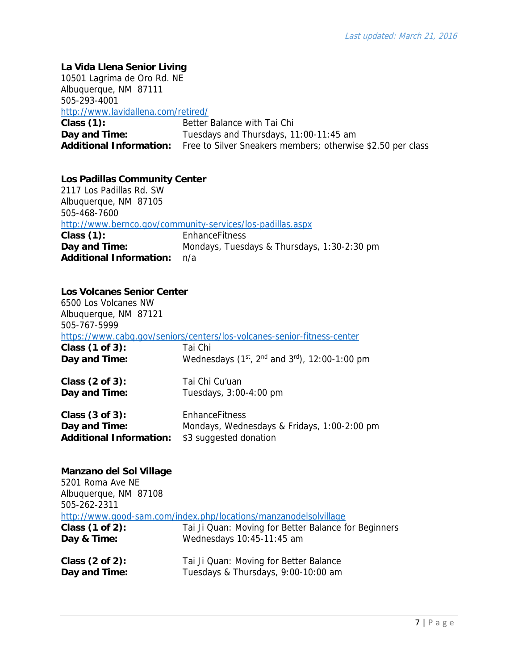### **La Vida Llena Senior Living**

10501 Lagrima de Oro Rd. NE Albuquerque, NM 87111 505-293-4001 http://www.lavidallena.com/retired/ **Class (1):** Better Balance with Tai Chi **Day and Time:** Tuesdays and Thursdays, 11:00-11:45 am **Additional Information:** Free to Silver Sneakers members; otherwise \$2.50 per class

### **Los Padillas Community Center**

2117 Los Padillas Rd. SW Albuquerque, NM 87105 505-468-7600 http://www.bernco.gov/community-services/los-padillas.aspx **Class (1):** EnhanceFitness **Day and Time:** Mondays, Tuesdays & Thursdays, 1:30-2:30 pm **Additional Information:** n/a

#### **Los Volcanes Senior Center**

6500 Los Volcanes NW Albuquerque, NM 87121 505-767-5999 https://www.cabq.gov/seniors/centers/los-volcanes-senior-fitness-center **Class (1 of 3):** Tai Chi **Day and Time:** Wednesdays (1<sup>st</sup>, 2<sup>nd</sup> and 3<sup>rd</sup>), 12:00-1:00 pm **Class (2 of 3):** Tai Chi Cu'uan **Day and Time:** Tuesdays, 3:00-4:00 pm **Class (3 of 3):** EnhanceFitness **Day and Time:** Mondays, Wednesdays & Fridays, 1:00-2:00 pm

**Additional Information:** \$3 suggested donation

### **Manzano del Sol Village**

5201 Roma Ave NE Albuquerque, NM 87108 505-262-2311 http://www.good-sam.com/index.php/locations/manzanodelsolvillage **Class (1 of 2):** Tai Ji Quan: Moving for Better Balance for Beginners **Day & Time:** Wednesdays 10:45-11:45 am **Class (2 of 2):** Tai Ji Quan: Moving for Better Balance **Day and Time:** Tuesdays & Thursdays, 9:00-10:00 am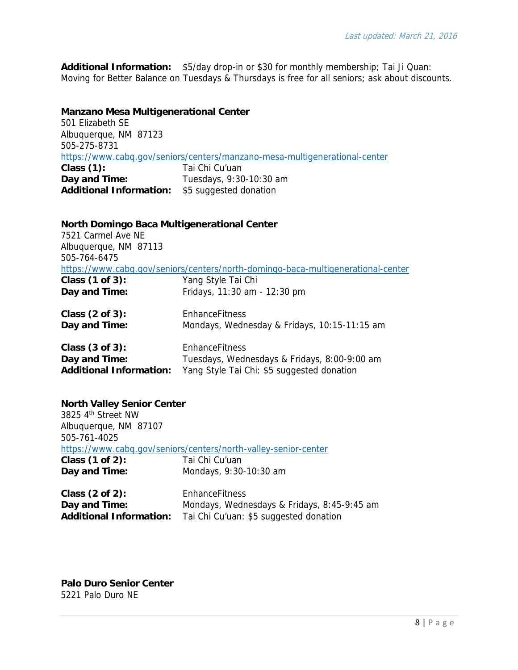**Additional Information:** \$5/day drop-in or \$30 for monthly membership; Tai Ji Quan: Moving for Better Balance on Tuesdays & Thursdays is free for all seniors; ask about discounts.

#### **Manzano Mesa Multigenerational Center**

501 Elizabeth SE Albuquerque, NM 87123 505-275-8731 https://www.cabq.gov/seniors/centers/manzano-mesa-multigenerational-center **Class (1):** Tai Chi Cu'uan **Day and Time:** Tuesdays, 9:30-10:30 am **Additional Information:** \$5 suggested donation

| North Domingo Baca Multigenerational Center<br>7521 Carmel Ave NF<br>Albuquerque, NM 87113 |                                                                                  |  |  |
|--------------------------------------------------------------------------------------------|----------------------------------------------------------------------------------|--|--|
| 505-764-6475                                                                               | https://www.cabg.gov/seniors/centers/north-domingo-baca-multigenerational-center |  |  |
| Class (1 of 3):                                                                            | Yang Style Tai Chi                                                               |  |  |
| Day and Time:                                                                              | Fridays, 11:30 am - 12:30 pm                                                     |  |  |
| Class $(2 \text{ of } 3)$ :                                                                | <b>FnhanceFitness</b>                                                            |  |  |
| Day and Time:                                                                              | Mondays, Wednesday & Fridays, 10:15-11:15 am                                     |  |  |
| Class $(3 \text{ of } 3)$ :                                                                | <b>EnhanceFitness</b>                                                            |  |  |
| Day and Time:                                                                              | Tuesdays, Wednesdays & Fridays, 8:00-9:00 am                                     |  |  |
| <b>Additional Information:</b>                                                             | Yang Style Tai Chi: \$5 suggested donation                                       |  |  |

#### **North Valley Senior Center**

3825 4th Street NW Albuquerque, NM 87107 505-761-4025 https://www.cabq.gov/seniors/centers/north-valley-senior-center **Class (1 of 2):** Tai Chi Cu'uan<br> **Day and Time:** Mondays, 9:30 **Day and Time:** Mondays, 9:30-10:30 am

| Class $(2 \text{ of } 2)$ :    | <b>EnhanceFitness</b>                       |
|--------------------------------|---------------------------------------------|
| Day and Time:                  | Mondays, Wednesdays & Fridays, 8:45-9:45 am |
| <b>Additional Information:</b> | Tai Chi Cu'uan: \$5 suggested donation      |

**Palo Duro Senior Center** 5221 Palo Duro NE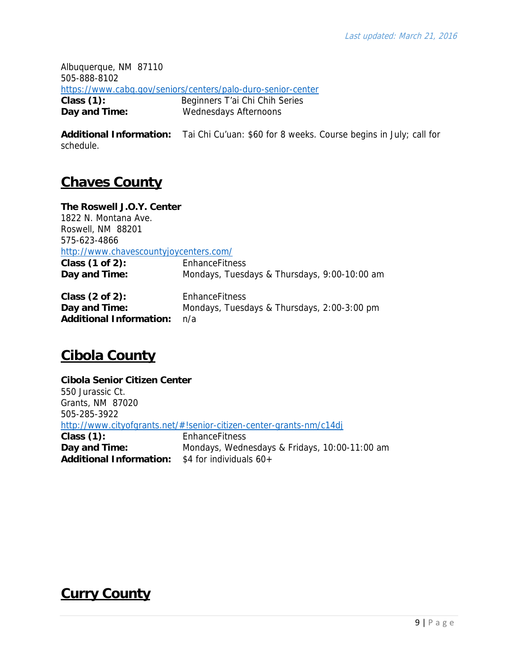Albuquerque, NM 87110 505-888-8102 https://www.cabq.gov/seniors/centers/palo-duro-senior-center **Class (1):** Beginners T'ai Chi Chih Series

**Day and Time:** Wednesdays Afternoons

**Additional Information:** Tai Chi Cu'uan: \$60 for 8 weeks. Course begins in July; call for schedule.

## **Chaves County**

**The Roswell J.O.Y. Center**  1822 N. Montana Ave. Roswell, NM 88201 575-623-4866 http://www.chavescountyjoycenters.com/ **Class (1 of 2):** EnhanceFitness **Day and Time:** Mondays, Tuesdays & Thursdays, 9:00-10:00 am **Class (2 of 2):** EnhanceFitness **Day and Time:** Mondays, Tuesdays & Thursdays, 2:00-3:00 pm **Additional Information:** n/a

# **Cibola County**

**Cibola Senior Citizen Center**  550 Jurassic Ct. Grants, NM 87020 505-285-3922 http://www.cityofgrants.net/#!senior-citizen-center-grants-nm/c14dj **Class (1):** EnhanceFitness **Day and Time:** Mondays, Wednesdays & Fridays, 10:00-11:00 am **Additional Information:** \$4 for individuals 60+

# **Curry County**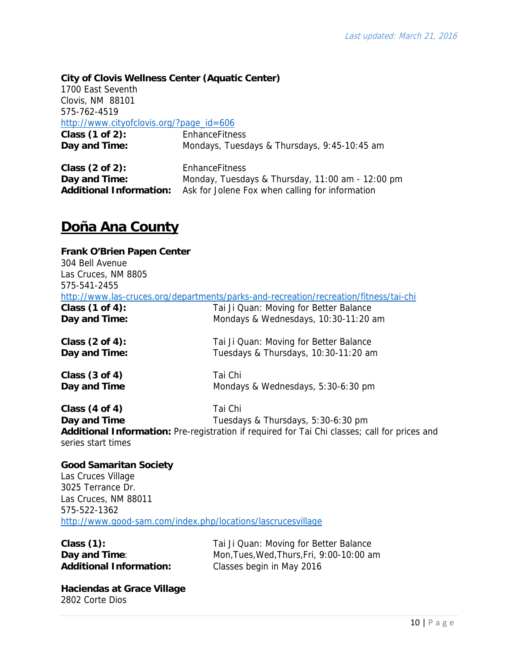### **City of Clovis Wellness Center (Aquatic Center)**

1700 East Seventh Clovis, NM 88101 575-762-4519 http://www.cityofclovis.org/?page\_id=606

| Class $(1 of 2)$ : | <b>EnhanceFitness</b>                        |
|--------------------|----------------------------------------------|
| Day and Time:      | Mondays, Tuesdays & Thursdays, 9:45-10:45 am |

| Class $(2 \text{ of } 2)$ : | EnhanceFitness                                                                 |
|-----------------------------|--------------------------------------------------------------------------------|
| Day and Time:               | Monday, Tuesdays & Thursday, 11:00 am - 12:00 pm                               |
|                             | <b>Additional Information:</b> Ask for Jolene Fox when calling for information |

### **Doña Ana County**

### **Frank O'Brien Papen Center**  304 Bell Avenue Las Cruces, NM 8805 575-541-2455 http://www.las-cruces.org/departments/parks-and-recreation/recreation/fitness/tai-chi **Class (1 of 4):** Tai Ji Quan: Moving for Better Balance **Day and Time: Mondays & Wednesdays, 10:30-11:20 am Class (2 of 4):** Tai Ji Quan: Moving for Better Balance **Day and Time:** Tuesdays & Thursdays, 10:30-11:20 am **Class (3 of 4)** Tai Chi **Day and Time Mondays & Wednesdays, 5:30-6:30 pm Class (4 of 4)** Tai Chi **Day and Time Tuesdays & Thursdays, 5:30-6:30 pm**

**Additional Information:** Pre-registration if required for Tai Chi classes; call for prices and series start times

### **Good Samaritan Society**

Las Cruces Village 3025 Terrance Dr. Las Cruces, NM 88011 575-522-1362 http://www.good-sam.com/index.php/locations/lascrucesvillage

| Class $(1)$ :           | Tai Ji Quan: Moving for Better Balance    |
|-------------------------|-------------------------------------------|
| Day and Time:           | Mon, Tues, Wed, Thurs, Fri, 9:00-10:00 am |
| Additional Information: | Classes begin in May 2016                 |

**Haciendas at Grace Village**  2802 Corte Dios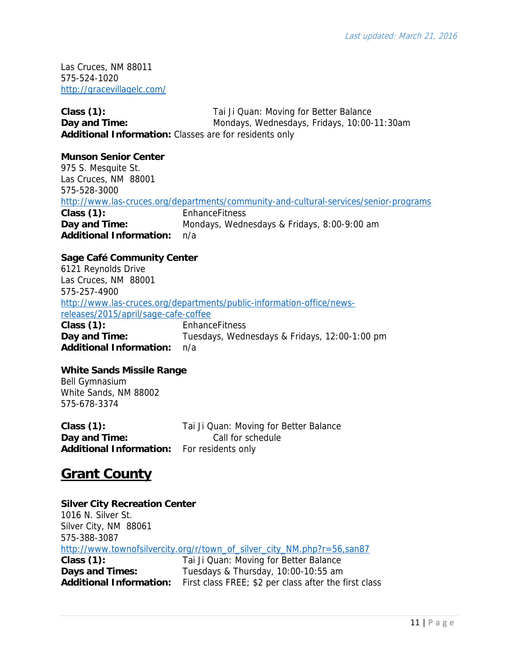Las Cruces, NM 88011 575-524-1020 http://gracevillagelc.com/

**Class (1):** Tai Ji Quan: Moving for Better Balance **Day and Time: Mondays, Wednesdays, Fridays, 10:00-11:30am Additional Information:** Classes are for residents only

#### **Munson Senior Center**

975 S. Mesquite St. Las Cruces, NM 88001 575-528-3000 http://www.las-cruces.org/departments/community-and-cultural-services/senior-programs **Class (1):** EnhanceFitness **Day and Time:** Mondays, Wednesdays & Fridays, 8:00-9:00 am **Additional Information:** n/a

### **Sage Café Community Center**

6121 Reynolds Drive Las Cruces, NM 88001 575-257-4900 http://www.las-cruces.org/departments/public-information-office/newsreleases/2015/april/sage-cafe-coffee **Class (1):** EnhanceFitness **Day and Time:** Tuesdays, Wednesdays & Fridays, 12:00-1:00 pm **Additional Information:** n/a

### **White Sands Missile Range**

Bell Gymnasium White Sands, NM 88002 575-678-3374

**Class (1):** Tai Ji Quan: Moving for Better Balance **Day and Time:** Call for schedule **Additional Information:** For residents only

## **Grant County**

### **Silver City Recreation Center** 1016 N. Silver St. Silver City, NM 88061 575-388-3087 http://www.townofsilvercity.org/r/town\_of\_silver\_city\_NM.php?r=56,san87 **Class (1):** Tai Ji Quan: Moving for Better Balance **Days and Times:** Tuesdays & Thursday, 10:00-10:55 am **Additional Information:** First class FREE; \$2 per class after the first class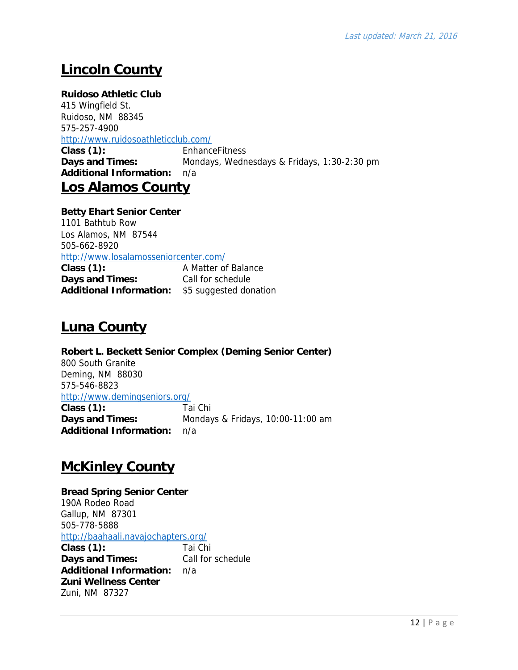# **Lincoln County**

### **Ruidoso Athletic Club**

415 Wingfield St. Ruidoso, NM 88345 575-257-4900

### http://www.ruidosoathleticclub.com/

**Class (1):** EnhanceFitness **Days and Times:** Mondays, Wednesdays & Fridays, 1:30-2:30 pm **Additional Information:** n/a

## **Los Alamos County**

### **Betty Ehart Senior Center**

1101 Bathtub Row Los Alamos, NM 87544 505-662-8920 http://www.losalamosseniorcenter.com/ **Class (1):** A Matter of Balance **Days and Times:** Call for schedule **Additional Information:** \$5 suggested donation

## **Luna County**

**Robert L. Beckett Senior Complex (Deming Senior Center)**  800 South Granite Deming, NM 88030 575-546-8823 http://www.demingseniors.org/ **Class (1):** Tai Chi **Days and Times:** Mondays & Fridays, 10:00-11:00 am **Additional Information:** n/a

## **McKinley County**

### **Bread Spring Senior Center**  190A Rodeo Road Gallup, NM 87301 505-778-5888 http://baahaali.navajochapters.org/ **Class (1):** Tai Chi<br> **Davs and Times:** Call for schedule

**Days and Times: Additional Information:** n/a **Zuni Wellness Center** Zuni, NM 87327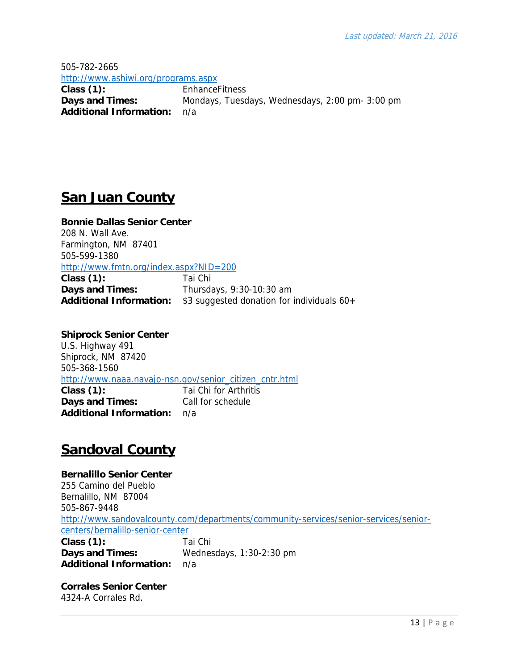505-782-2665 http://www.ashiwi.org/programs.aspx **Class (1):** EnhanceFitness **Days and Times:** Mondays, Tuesdays, Wednesdays, 2:00 pm- 3:00 pm **Additional Information:** n/a

### **San Juan County**

**Bonnie Dallas Senior Center**  208 N. Wall Ave. Farmington, NM 87401 505-599-1380 http://www.fmtn.org/index.aspx?NID=200

**Class (1):** Tai Chi **Days and Times:** Thursdays, 9:30-10:30 am **Additional Information:** \$3 suggested donation for individuals 60+

**Shiprock Senior Center**  U.S. Highway 491 Shiprock, NM 87420 505-368-1560 http://www.naaa.navajo-nsn.gov/senior\_citizen\_cntr.html **Class (1):** Tai Chi for Arthritis **Days and Times:** Call for schedule **Additional Information:** n/a

# **Sandoval County**

**Bernalillo Senior Center**  255 Camino del Pueblo Bernalillo, NM 87004 505-867-9448 http://www.sandovalcounty.com/departments/community-services/senior-services/seniorcenters/bernalillo-senior-center **Class (1):** Tai Chi **Days and Times:** Wednesdays, 1:30-2:30 pm **Additional Information:** n/a

**Corrales Senior Center** 4324-A Corrales Rd.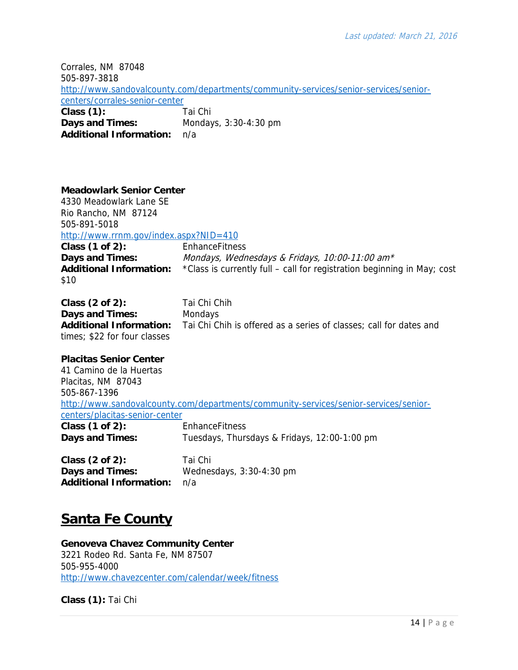Corrales, NM 87048 505-897-3818 http://www.sandovalcounty.com/departments/community-services/senior-services/seniorcenters/corrales-senior-center **Class (1):** Tai Chi **Days and Times:** Mondays, 3:30-4:30 pm **Additional Information:** n/a

### **Meadowlark Senior Center**

4330 Meadowlark Lane SE Rio Rancho, NM 87124 505-891-5018 http://www.rrnm.gov/index.aspx?NID=410 **Class (1 of 2):** EnhanceFitness **Days and Times:** *Mondays, Wednesdays & Fridays, 10:00-11:00 am\** **Additional Information:** \*Class is currently full – call for registration beginning in May; cost \$10

Class (2 of 2): Tai Chi Chih **Days and Times:** Mondays **Additional Information:** Tai Chi Chih is offered as a series of classes; call for dates and times; \$22 for four classes

**Placitas Senior Center** 41 Camino de la Huertas Placitas, NM 87043 505-867-1396 http://www.sandovalcounty.com/departments/community-services/senior-services/seniorcenters/placitas-senior-center **Class (1 of 2):** EnhanceFitness **Days and Times:** Tuesdays, Thursdays & Fridays, 12:00-1:00 pm

**Class (2 of 2):** Tai Chi **Days and Times:** Wednesdays, 3:30-4:30 pm **Additional Information:** n/a

### **Santa Fe County**

**Genoveva Chavez Community Center**  3221 Rodeo Rd. Santa Fe, NM 87507 505-955-4000 http://www.chavezcenter.com/calendar/week/fitness

**Class (1):** Tai Chi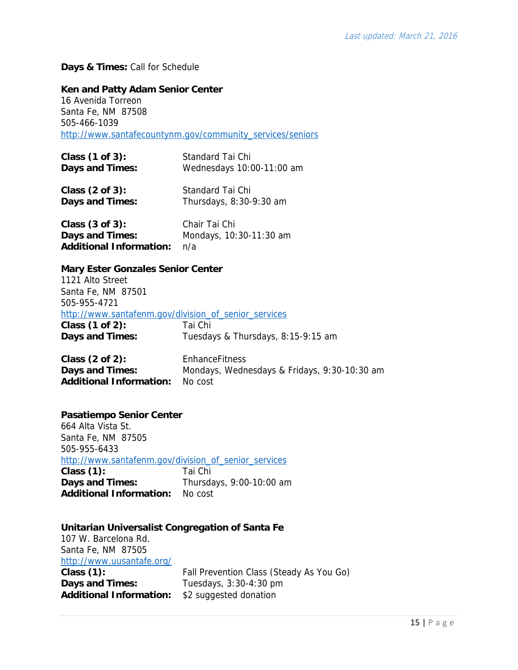### **Days & Times:** Call for Schedule

#### **Ken and Patty Adam Senior Center**

16 Avenida Torreon Santa Fe, NM 87508 505-466-1039 http://www.santafecountynm.gov/community\_services/seniors

| Class (1 of 3):             | Standard Tai Chi          |
|-----------------------------|---------------------------|
| <b>Days and Times:</b>      | Wednesdays 10:00-11:00 am |
| Class $(2 \text{ of } 3)$ : | Standard Tai Chi          |
| <b>Days and Times:</b>      | Thursdays, 8:30-9:30 am   |
| Class $(3 of 3)$ :          | Chair Tai Chi             |

| Class (3 of 3):                | Unair Tai Uni           |
|--------------------------------|-------------------------|
| Days and Times:                | Mondays, 10:30-11:30 am |
| <b>Additional Information:</b> | n/a                     |

#### **Mary Ester Gonzales Senior Center**

1121 Alto Street Santa Fe, NM 87501 505-955-4721 http://www.santafenm.gov/division\_of\_senior\_services **Class (1 of 2):** Tai Chi Days and Times: Tuesdays & Thursdays, 8:15-9:15 am

**Class (2 of 2):** EnhanceFitness **Days and Times:** Mondays, Wednesdays & Fridays, 9:30-10:30 am **Additional Information:** No cost

### **Pasatiempo Senior Center**

664 Alta Vista St. Santa Fe, NM 87505 505-955-6433 http://www.santafenm.gov/division\_of\_senior\_services **Class (1):** Tai Chi **Days and Times:** Thursdays, 9:00-10:00 am **Additional Information:** No cost

#### **Unitarian Universalist Congregation of Santa Fe**

107 W. Barcelona Rd. Santa Fe, NM 87505 http://www.uusantafe.org/ Class (1): Fall Prevention Class (Steady As You Go) **Days and Times:** Tuesdays, 3:30-4:30 pm **Additional Information:** \$2 suggested donation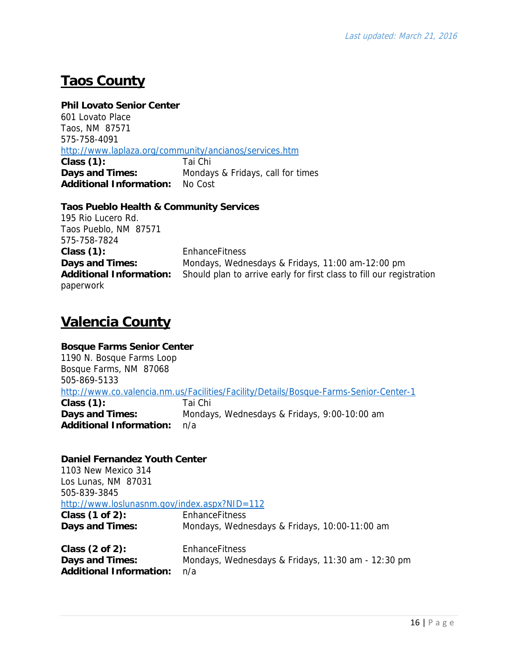# **Taos County**

#### **Phil Lovato Senior Center**

601 Lovato Place Taos, NM 87571 575-758-4091 http://www.laplaza.org/community/ancianos/services.htm **Class (1):** Tai Chi **Days and Times:** Mondays & Fridays, call for times **Additional Information:** No Cost

### **Taos Pueblo Health & Community Services**

195 Rio Lucero Rd. Taos Pueblo, NM 87571 575-758-7824 **Class (1):** EnhanceFitness paperwork

**Days and Times:** Mondays, Wednesdays & Fridays, 11:00 am-12:00 pm **Additional Information:** Should plan to arrive early for first class to fill our registration

## **Valencia County**

### **Bosque Farms Senior Center** 1190 N. Bosque Farms Loop Bosque Farms, NM 87068 505-869-5133 http://www.co.valencia.nm.us/Facilities/Facility/Details/Bosque-Farms-Senior-Center-1 **Class (1):** Tai Chi **Days and Times:** Mondays, Wednesdays & Fridays, 9:00-10:00 am **Additional Information:** n/a

### **Daniel Fernandez Youth Center**

1103 New Mexico 314 Los Lunas, NM 87031 505-839-3845 http://www.loslunasnm.gov/index.aspx?NID=112 **Class (1 of 2):** EnhanceFitness **Days and Times:** Mondays, Wednesdays & Fridays, 10:00-11:00 am **Class (2 of 2):** EnhanceFitness **Days and Times:** Mondays, Wednesdays & Fridays, 11:30 am - 12:30 pm **Additional Information:** n/a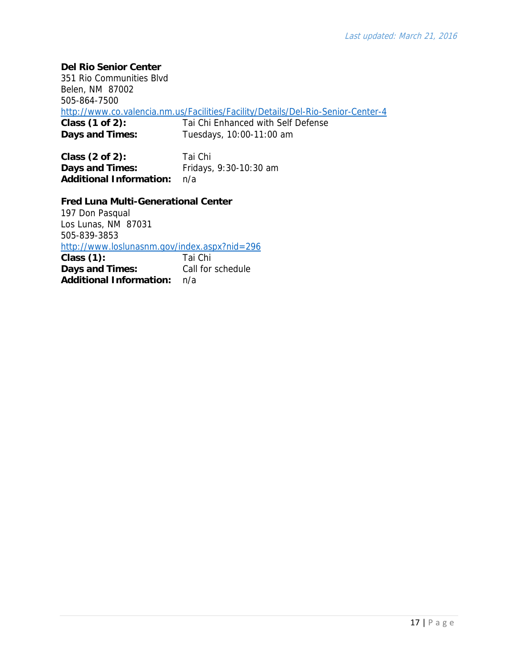**Del Rio Senior Center**

351 Rio Communities Blvd Belen, NM 87002 505-864-7500 http://www.co.valencia.nm.us/Facilities/Facility/Details/Del-Rio-Senior-Center-4 **Class (1 of 2):** Tai Chi Enhanced with Self Defense **Days and Times:** Tuesdays, 10:00-11:00 am

**Class (2 of 2):** Tai Chi **Days and Times:** Fridays, 9:30-10:30 am **Additional Information:** n/a

**Fred Luna Multi-Generational Center** 

197 Don Pasqual Los Lunas, NM 87031 505-839-3853 http://www.loslunasnm.gov/index.aspx?nid=296 **Class (1):** Tai Chi **Days and Times:** Call for schedule **Additional Information:** n/a